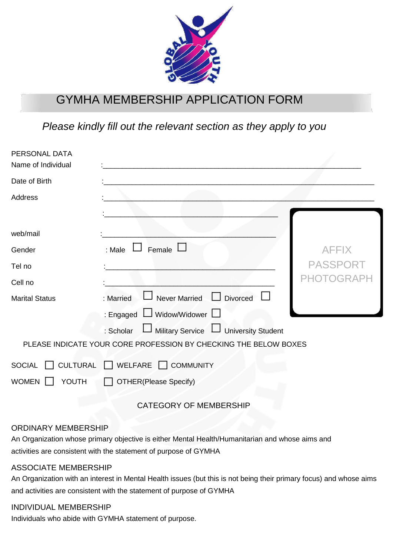

## GYMHA MEMBERSHIP APPLICATION FORM

*Please kindly fill out the relevant section as they apply to you*

| PERSONAL DATA<br>Name of Individual |                                                                  |              |
|-------------------------------------|------------------------------------------------------------------|--------------|
| Date of Birth                       |                                                                  |              |
| Address                             |                                                                  |              |
| web/mail                            |                                                                  |              |
| Gender                              | Female $\mathsf{\mathsf{L}}$<br>: Male $\Box$                    | <b>AFFIX</b> |
| Tel no                              |                                                                  | PASSPORT     |
| Cell no                             |                                                                  | OGR)         |
| <b>Marital Status</b>               | <b>Divorced</b><br><b>Never Married</b><br>: Married             |              |
|                                     | : Engaged LJ Widow/Widower L                                     |              |
|                                     | Military Service LJ University Student<br>: Scholar              |              |
|                                     | PLEASE INDICATE YOUR CORE PROFESSION BY CHECKING THE BELOW BOXES |              |
| YOUTH<br><b>WOMEN</b>               | SOCIAL CULTURAL WELFARE COMMUNITY<br>OTHER(Please Specify)       |              |

CATEGORY OF MEMBERSHIP

## ORDINARY MEMBERSHIP

An Organization whose primary objective is either Mental Health/Humanitarian and whose aims and activities are consistent with the statement of purpose of GYMHA

## ASSOCIATE MEMBERSHIP

An Organization with an interest in Mental Health issues (but this is not being their primary focus) and whose aims and activities are consistent with the statement of purpose of GYMHA

## INDIVIDUAL MEMBERSHIP

Individuals who abide with GYMHA statement of purpose.